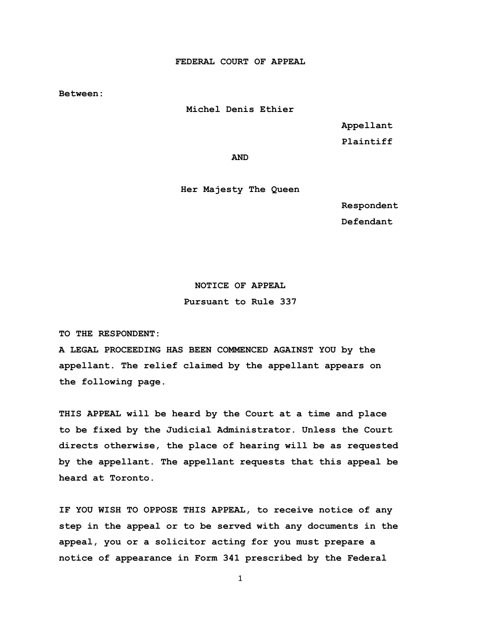**FEDERAL COURT OF APPEAL**

**Between:**

**Michel Denis Ethier**

 **Appellant** 

**Plaintiff**

**AND**

**Her Majesty The Queen**

 **Respondent Defendant**

### **NOTICE OF APPEAL**

**Pursuant to Rule 337**

**TO THE RESPONDENT:**

**A LEGAL PROCEEDING HAS BEEN COMMENCED AGAINST YOU by the appellant. The relief claimed by the appellant appears on the following page.**

**THIS APPEAL will be heard by the Court at a time and place to be fixed by the Judicial Administrator. Unless the Court directs otherwise, the place of hearing will be as requested by the appellant. The appellant requests that this appeal be heard at Toronto.**

**IF YOU WISH TO OPPOSE THIS APPEAL, to receive notice of any step in the appeal or to be served with any documents in the appeal, you or a solicitor acting for you must prepare a notice of appearance in Form 341 prescribed by the Federal**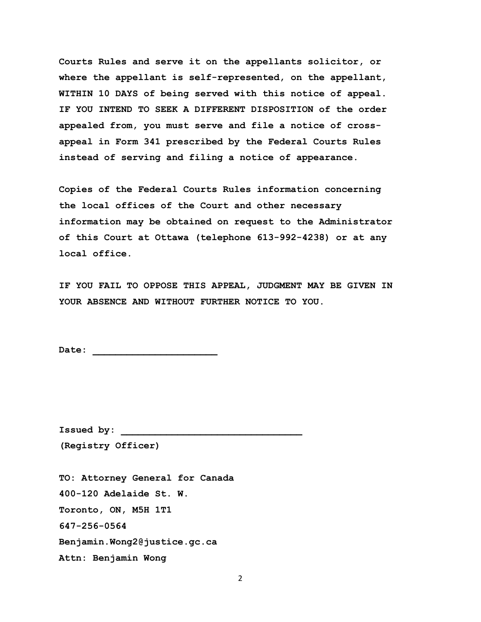**Courts Rules and serve it on the appellants solicitor, or where the appellant is self-represented, on the appellant, WITHIN 10 DAYS of being served with this notice of appeal. IF YOU INTEND TO SEEK A DIFFERENT DISPOSITION of the order appealed from, you must serve and file a notice of crossappeal in Form 341 prescribed by the Federal Courts Rules instead of serving and filing a notice of appearance.**

**Copies of the Federal Courts Rules information concerning the local offices of the Court and other necessary information may be obtained on request to the Administrator of this Court at Ottawa (telephone 613-992-4238) or at any local office.**

**IF YOU FAIL TO OPPOSE THIS APPEAL, JUDGMENT MAY BE GIVEN IN YOUR ABSENCE AND WITHOUT FURTHER NOTICE TO YOU.**

**Date: \_\_\_\_\_\_\_\_\_\_\_\_\_\_\_\_\_\_\_\_\_\_**

Issued by:

**(Registry Officer)**

**TO: Attorney General for Canada 400-120 Adelaide St. W. Toronto, ON, M5H 1T1 647-256-0564 Benjamin.Wong2@justice.gc.ca Attn: Benjamin Wong**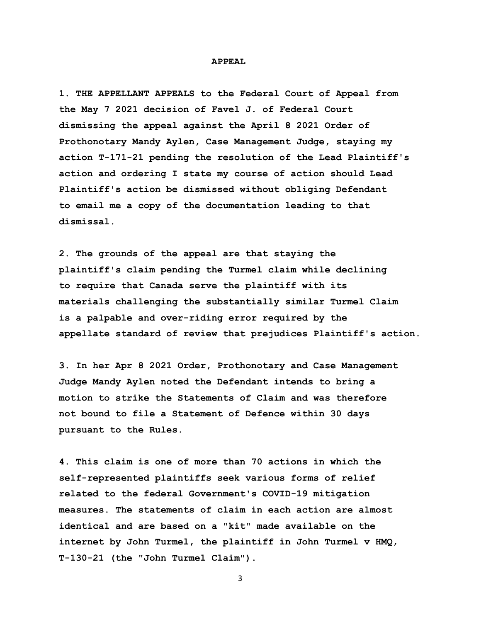#### **APPEAL**

**1. THE APPELLANT APPEALS to the Federal Court of Appeal from the May 7 2021 decision of Favel J. of Federal Court dismissing the appeal against the April 8 2021 Order of Prothonotary Mandy Aylen, Case Management Judge, staying my action T-171-21 pending the resolution of the Lead Plaintiff's action and ordering I state my course of action should Lead Plaintiff's action be dismissed without obliging Defendant to email me a copy of the documentation leading to that dismissal.** 

**2. The grounds of the appeal are that staying the plaintiff's claim pending the Turmel claim while declining to require that Canada serve the plaintiff with its materials challenging the substantially similar Turmel Claim is a palpable and over-riding error required by the appellate standard of review that prejudices Plaintiff's action.** 

**3. In her Apr 8 2021 Order, Prothonotary and Case Management Judge Mandy Aylen noted the Defendant intends to bring a motion to strike the Statements of Claim and was therefore not bound to file a Statement of Defence within 30 days pursuant to the Rules.** 

**4. This claim is one of more than 70 actions in which the self-represented plaintiffs seek various forms of relief related to the federal Government's COVID-19 mitigation measures. The statements of claim in each action are almost identical and are based on a "kit" made available on the internet by John Turmel, the plaintiff in John Turmel v HMQ, T-130-21 (the "John Turmel Claim").**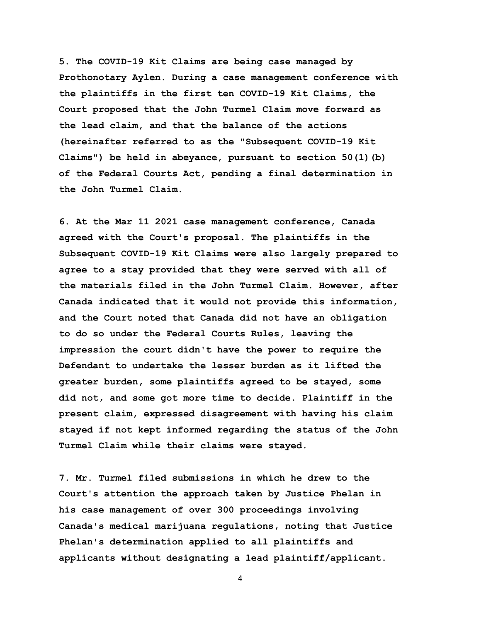**5. The COVID-19 Kit Claims are being case managed by Prothonotary Aylen. During a case management conference with the plaintiffs in the first ten COVID-19 Kit Claims, the Court proposed that the John Turmel Claim move forward as the lead claim, and that the balance of the actions (hereinafter referred to as the "Subsequent COVID-19 Kit Claims") be held in abeyance, pursuant to section 50(1)(b) of the Federal Courts Act, pending a final determination in the John Turmel Claim.** 

**6. At the Mar 11 2021 case management conference, Canada agreed with the Court's proposal. The plaintiffs in the Subsequent COVID-19 Kit Claims were also largely prepared to agree to a stay provided that they were served with all of the materials filed in the John Turmel Claim. However, after Canada indicated that it would not provide this information, and the Court noted that Canada did not have an obligation to do so under the Federal Courts Rules, leaving the impression the court didn't have the power to require the Defendant to undertake the lesser burden as it lifted the greater burden, some plaintiffs agreed to be stayed, some did not, and some got more time to decide. Plaintiff in the present claim, expressed disagreement with having his claim stayed if not kept informed regarding the status of the John Turmel Claim while their claims were stayed.** 

**7. Mr. Turmel filed submissions in which he drew to the Court's attention the approach taken by Justice Phelan in his case management of over 300 proceedings involving Canada's medical marijuana regulations, noting that Justice Phelan's determination applied to all plaintiffs and applicants without designating a lead plaintiff/applicant.**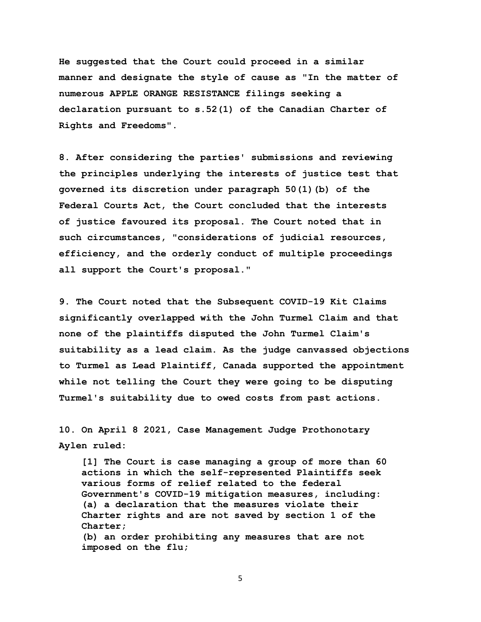**He suggested that the Court could proceed in a similar manner and designate the style of cause as "In the matter of numerous APPLE ORANGE RESISTANCE filings seeking a declaration pursuant to s.52(1) of the Canadian Charter of Rights and Freedoms".** 

**8. After considering the parties' submissions and reviewing the principles underlying the interests of justice test that governed its discretion under paragraph 50(1)(b) of the Federal Courts Act, the Court concluded that the interests of justice favoured its proposal. The Court noted that in such circumstances, "considerations of judicial resources, efficiency, and the orderly conduct of multiple proceedings all support the Court's proposal."**

**9. The Court noted that the Subsequent COVID-19 Kit Claims significantly overlapped with the John Turmel Claim and that none of the plaintiffs disputed the John Turmel Claim's suitability as a lead claim. As the judge canvassed objections to Turmel as Lead Plaintiff, Canada supported the appointment while not telling the Court they were going to be disputing Turmel's suitability due to owed costs from past actions.** 

**10. On April 8 2021, Case Management Judge Prothonotary Aylen ruled:** 

 **[1] The Court is case managing a group of more than 60 actions in which the self-represented Plaintiffs seek various forms of relief related to the federal Government's COVID-19 mitigation measures, including: (a) a declaration that the measures violate their Charter rights and are not saved by section 1 of the Charter; (b) an order prohibiting any measures that are not imposed on the flu;**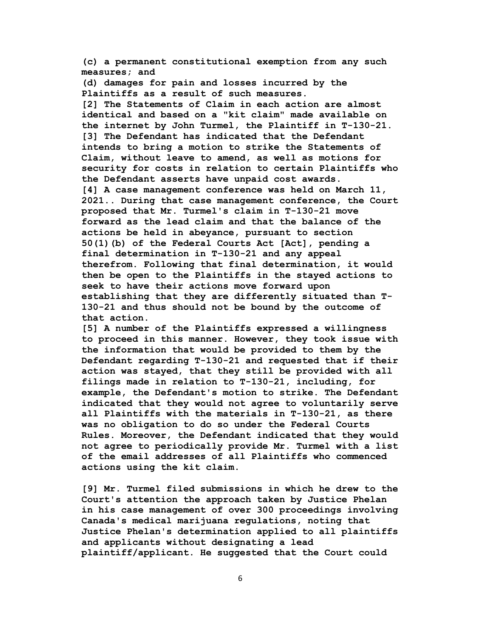**(c) a permanent constitutional exemption from any such measures; and** 

 **(d) damages for pain and losses incurred by the Plaintiffs as a result of such measures. [2] The Statements of Claim in each action are almost identical and based on a "kit claim" made available on the internet by John Turmel, the Plaintiff in T-130-21. [3] The Defendant has indicated that the Defendant intends to bring a motion to strike the Statements of Claim, without leave to amend, as well as motions for security for costs in relation to certain Plaintiffs who the Defendant asserts have unpaid cost awards. [4] A case management conference was held on March 11, 2021.. During that case management conference, the Court proposed that Mr. Turmel's claim in T-130-21 move forward as the lead claim and that the balance of the actions be held in abeyance, pursuant to section 50(1)(b) of the Federal Courts Act [Act], pending a final determination in T-130-21 and any appeal therefrom. Following that final determination, it would then be open to the Plaintiffs in the stayed actions to seek to have their actions move forward upon establishing that they are differently situated than T- 130-21 and thus should not be bound by the outcome of that action.** 

 **[5] A number of the Plaintiffs expressed a willingness to proceed in this manner. However, they took issue with the information that would be provided to them by the Defendant regarding T-130-21 and requested that if their action was stayed, that they still be provided with all filings made in relation to T-130-21, including, for example, the Defendant's motion to strike. The Defendant indicated that they would not agree to voluntarily serve all Plaintiffs with the materials in T-130-21, as there was no obligation to do so under the Federal Courts Rules. Moreover, the Defendant indicated that they would not agree to periodically provide Mr. Turmel with a list of the email addresses of all Plaintiffs who commenced actions using the kit claim.** 

 **[9] Mr. Turmel filed submissions in which he drew to the Court's attention the approach taken by Justice Phelan in his case management of over 300 proceedings involving Canada's medical marijuana regulations, noting that Justice Phelan's determination applied to all plaintiffs and applicants without designating a lead plaintiff/applicant. He suggested that the Court could**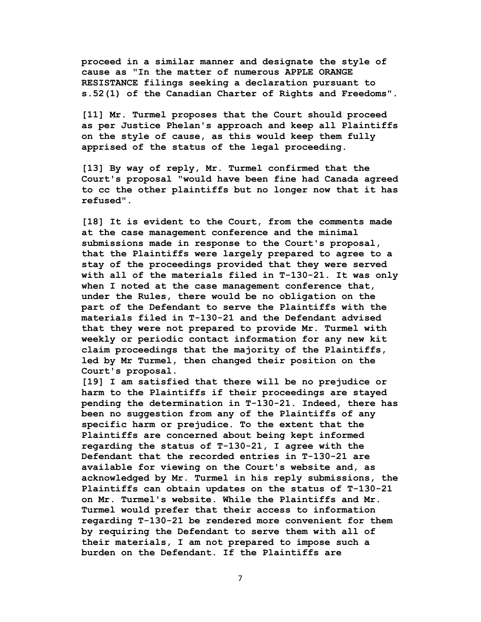**proceed in a similar manner and designate the style of cause as "In the matter of numerous APPLE ORANGE RESISTANCE filings seeking a declaration pursuant to s.52(1) of the Canadian Charter of Rights and Freedoms".** 

 **[11] Mr. Turmel proposes that the Court should proceed as per Justice Phelan's approach and keep all Plaintiffs on the style of cause, as this would keep them fully apprised of the status of the legal proceeding.** 

 **[13] By way of reply, Mr. Turmel confirmed that the Court's proposal "would have been fine had Canada agreed to cc the other plaintiffs but no longer now that it has refused".** 

 **[18] It is evident to the Court, from the comments made at the case management conference and the minimal submissions made in response to the Court's proposal, that the Plaintiffs were largely prepared to agree to a stay of the proceedings provided that they were served with all of the materials filed in T-130-21. It was only when I noted at the case management conference that, under the Rules, there would be no obligation on the part of the Defendant to serve the Plaintiffs with the materials filed in T-130-21 and the Defendant advised that they were not prepared to provide Mr. Turmel with weekly or periodic contact information for any new kit claim proceedings that the majority of the Plaintiffs, led by Mr Turmel, then changed their position on the Court's proposal.** 

 **[19] I am satisfied that there will be no prejudice or harm to the Plaintiffs if their proceedings are stayed pending the determination in T-130-21. Indeed, there has been no suggestion from any of the Plaintiffs of any specific harm or prejudice. To the extent that the Plaintiffs are concerned about being kept informed regarding the status of T-130-21, I agree with the Defendant that the recorded entries in T-130-21 are available for viewing on the Court's website and, as acknowledged by Mr. Turmel in his reply submissions, the Plaintiffs can obtain updates on the status of T-130-21 on Mr. Turmel's website. While the Plaintiffs and Mr. Turmel would prefer that their access to information regarding T-130-21 be rendered more convenient for them by requiring the Defendant to serve them with all of their materials, I am not prepared to impose such a burden on the Defendant. If the Plaintiffs are**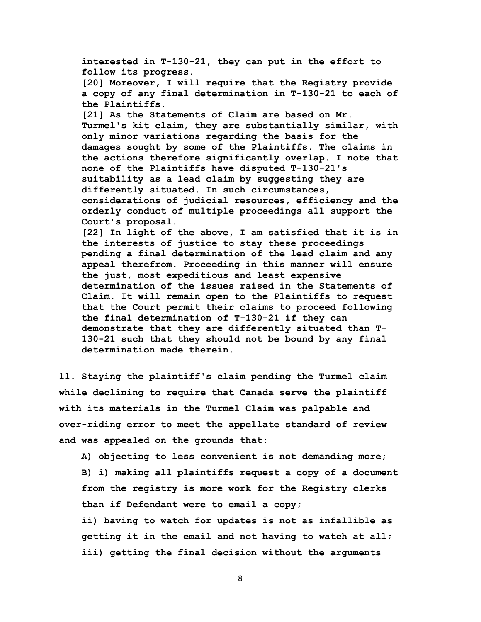**interested in T-130-21, they can put in the effort to follow its progress. [20] Moreover, I will require that the Registry provide a copy of any final determination in T-130-21 to each of the Plaintiffs. [21] As the Statements of Claim are based on Mr. Turmel's kit claim, they are substantially similar, with only minor variations regarding the basis for the damages sought by some of the Plaintiffs. The claims in the actions therefore significantly overlap. I note that none of the Plaintiffs have disputed T-130-21's suitability as a lead claim by suggesting they are differently situated. In such circumstances, considerations of judicial resources, efficiency and the orderly conduct of multiple proceedings all support the Court's proposal. [22] In light of the above, I am satisfied that it is in the interests of justice to stay these proceedings pending a final determination of the lead claim and any appeal therefrom. Proceeding in this manner will ensure the just, most expeditious and least expensive determination of the issues raised in the Statements of Claim. It will remain open to the Plaintiffs to request that the Court permit their claims to proceed following the final determination of T-130-21 if they can demonstrate that they are differently situated than T- 130-21 such that they should not be bound by any final determination made therein.** 

**11. Staying the plaintiff's claim pending the Turmel claim while declining to require that Canada serve the plaintiff with its materials in the Turmel Claim was palpable and over-riding error to meet the appellate standard of review and was appealed on the grounds that:** 

 **A) objecting to less convenient is not demanding more; B) i) making all plaintiffs request a copy of a document from the registry is more work for the Registry clerks than if Defendant were to email a copy; ii) having to watch for updates is not as infallible as getting it in the email and not having to watch at all; iii) getting the final decision without the arguments**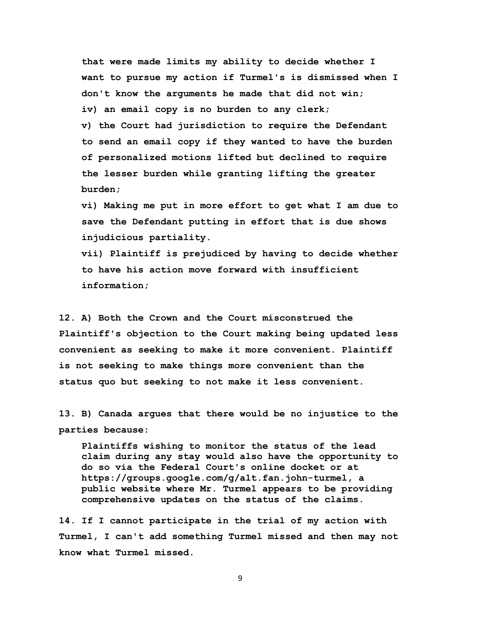**that were made limits my ability to decide whether I want to pursue my action if Turmel's is dismissed when I don't know the arguments he made that did not win; iv) an email copy is no burden to any clerk;**

 **v) the Court had jurisdiction to require the Defendant to send an email copy if they wanted to have the burden of personalized motions lifted but declined to require the lesser burden while granting lifting the greater burden;** 

 **vi) Making me put in more effort to get what I am due to save the Defendant putting in effort that is due shows injudicious partiality.**

 **vii) Plaintiff is prejudiced by having to decide whether to have his action move forward with insufficient information;** 

**12. A) Both the Crown and the Court misconstrued the Plaintiff's objection to the Court making being updated less convenient as seeking to make it more convenient. Plaintiff is not seeking to make things more convenient than the status quo but seeking to not make it less convenient.** 

**13. B) Canada argues that there would be no injustice to the parties because:**

 **Plaintiffs wishing to monitor the status of the lead claim during any stay would also have the opportunity to do so via the Federal Court's online docket or at https://groups.google.com/g/alt.fan.john-turmel, a public website where Mr. Turmel appears to be providing comprehensive updates on the status of the claims.** 

**14. If I cannot participate in the trial of my action with Turmel, I can't add something Turmel missed and then may not know what Turmel missed.**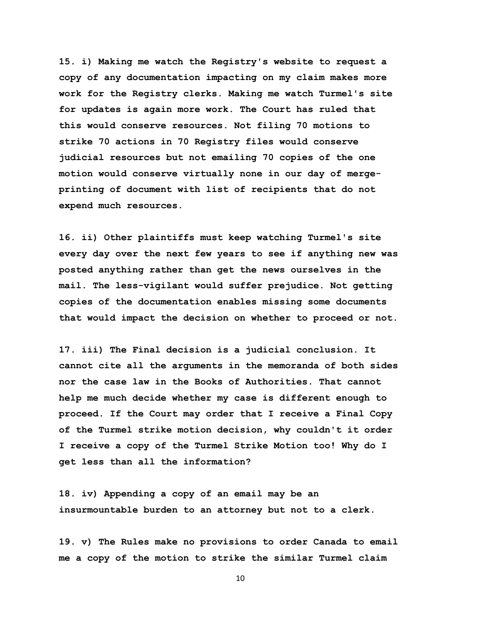**15. i) Making me watch the Registry's website to request a copy of any documentation impacting on my claim makes more work for the Registry clerks. Making me watch Turmel's site for updates is again more work. The Court has ruled that this would conserve resources. Not filing 70 motions to strike 70 actions in 70 Registry files would conserve judicial resources but not emailing 70 copies of the one motion would conserve virtually none in our day of mergeprinting of document with list of recipients that do not expend much resources.** 

**16. ii) Other plaintiffs must keep watching Turmel's site every day over the next few years to see if anything new was posted anything rather than get the news ourselves in the mail. The less-vigilant would suffer prejudice. Not getting copies of the documentation enables missing some documents that would impact the decision on whether to proceed or not.** 

**17. iii) The Final decision is a judicial conclusion. It cannot cite all the arguments in the memoranda of both sides nor the case law in the Books of Authorities. That cannot help me much decide whether my case is different enough to proceed. If the Court may order that I receive a Final Copy of the Turmel strike motion decision, why couldn't it order I receive a copy of the Turmel Strike Motion too! Why do I get less than all the information?** 

**18. iv) Appending a copy of an email may be an insurmountable burden to an attorney but not to a clerk.** 

**19. v) The Rules make no provisions to order Canada to email me a copy of the motion to strike the similar Turmel claim**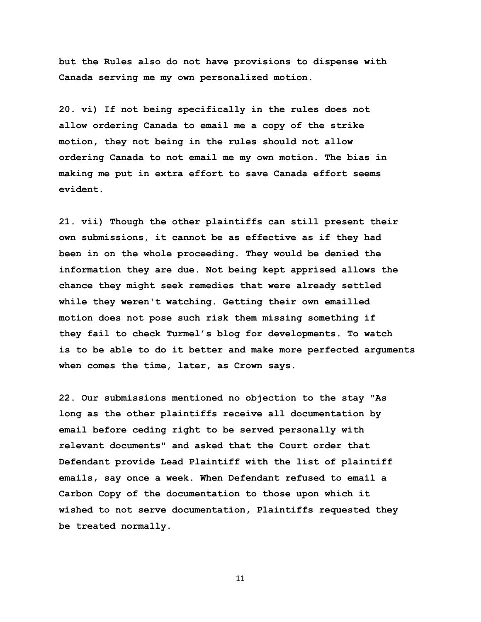**but the Rules also do not have provisions to dispense with Canada serving me my own personalized motion.** 

**20. vi) If not being specifically in the rules does not allow ordering Canada to email me a copy of the strike motion, they not being in the rules should not allow ordering Canada to not email me my own motion. The bias in making me put in extra effort to save Canada effort seems evident.** 

**21. vii) Though the other plaintiffs can still present their own submissions, it cannot be as effective as if they had been in on the whole proceeding. They would be denied the information they are due. Not being kept apprised allows the chance they might seek remedies that were already settled while they weren't watching. Getting their own emailled motion does not pose such risk them missing something if they fail to check Turmel's blog for developments. To watch is to be able to do it better and make more perfected arguments when comes the time, later, as Crown says.**

**22. Our submissions mentioned no objection to the stay "As long as the other plaintiffs receive all documentation by email before ceding right to be served personally with relevant documents" and asked that the Court order that Defendant provide Lead Plaintiff with the list of plaintiff emails, say once a week. When Defendant refused to email a Carbon Copy of the documentation to those upon which it wished to not serve documentation, Plaintiffs requested they be treated normally.**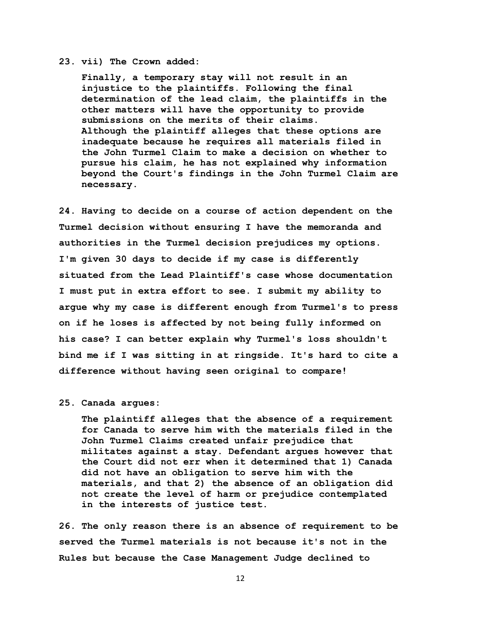### **23. vii) The Crown added:**

 **Finally, a temporary stay will not result in an injustice to the plaintiffs. Following the final determination of the lead claim, the plaintiffs in the other matters will have the opportunity to provide submissions on the merits of their claims. Although the plaintiff alleges that these options are inadequate because he requires all materials filed in the John Turmel Claim to make a decision on whether to pursue his claim, he has not explained why information beyond the Court's findings in the John Turmel Claim are necessary.**

**24. Having to decide on a course of action dependent on the Turmel decision without ensuring I have the memoranda and authorities in the Turmel decision prejudices my options. I'm given 30 days to decide if my case is differently situated from the Lead Plaintiff's case whose documentation I must put in extra effort to see. I submit my ability to argue why my case is different enough from Turmel's to press on if he loses is affected by not being fully informed on his case? I can better explain why Turmel's loss shouldn't bind me if I was sitting in at ringside. It's hard to cite a difference without having seen original to compare!** 

## **25. Canada argues:**

 **The plaintiff alleges that the absence of a requirement for Canada to serve him with the materials filed in the John Turmel Claims created unfair prejudice that militates against a stay. Defendant argues however that the Court did not err when it determined that 1) Canada did not have an obligation to serve him with the materials, and that 2) the absence of an obligation did not create the level of harm or prejudice contemplated in the interests of justice test.**

**26. The only reason there is an absence of requirement to be served the Turmel materials is not because it's not in the Rules but because the Case Management Judge declined to**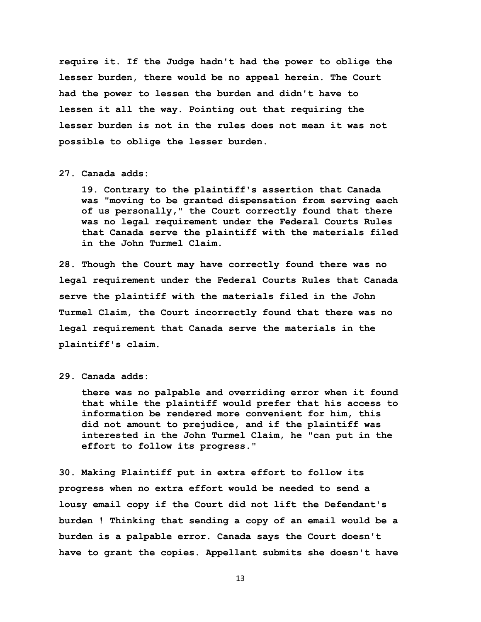**require it. If the Judge hadn't had the power to oblige the lesser burden, there would be no appeal herein. The Court had the power to lessen the burden and didn't have to lessen it all the way. Pointing out that requiring the lesser burden is not in the rules does not mean it was not possible to oblige the lesser burden.** 

# **27. Canada adds:**

 **19. Contrary to the plaintiff's assertion that Canada was "moving to be granted dispensation from serving each of us personally," the Court correctly found that there was no legal requirement under the Federal Courts Rules that Canada serve the plaintiff with the materials filed in the John Turmel Claim.**

**28. Though the Court may have correctly found there was no legal requirement under the Federal Courts Rules that Canada serve the plaintiff with the materials filed in the John Turmel Claim, the Court incorrectly found that there was no legal requirement that Canada serve the materials in the plaintiff's claim.**

**29. Canada adds:** 

 **there was no palpable and overriding error when it found that while the plaintiff would prefer that his access to information be rendered more convenient for him, this did not amount to prejudice, and if the plaintiff was interested in the John Turmel Claim, he "can put in the effort to follow its progress."**

**30. Making Plaintiff put in extra effort to follow its progress when no extra effort would be needed to send a lousy email copy if the Court did not lift the Defendant's burden ! Thinking that sending a copy of an email would be a burden is a palpable error. Canada says the Court doesn't have to grant the copies. Appellant submits she doesn't have**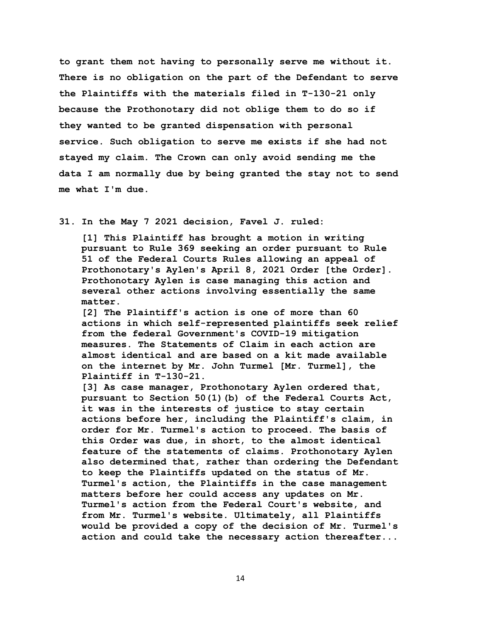**to grant them not having to personally serve me without it. There is no obligation on the part of the Defendant to serve the Plaintiffs with the materials filed in T-130-21 only because the Prothonotary did not oblige them to do so if they wanted to be granted dispensation with personal service. Such obligation to serve me exists if she had not stayed my claim. The Crown can only avoid sending me the data I am normally due by being granted the stay not to send me what I'm due.** 

**31. In the May 7 2021 decision, Favel J. ruled:** 

 **[1] This Plaintiff has brought a motion in writing pursuant to Rule 369 seeking an order pursuant to Rule 51 of the Federal Courts Rules allowing an appeal of Prothonotary's Aylen's April 8, 2021 Order [the Order]. Prothonotary Aylen is case managing this action and several other actions involving essentially the same matter.**

 **[2] The Plaintiff's action is one of more than 60 actions in which self-represented plaintiffs seek relief from the federal Government's COVID-19 mitigation measures. The Statements of Claim in each action are almost identical and are based on a kit made available on the internet by Mr. John Turmel [Mr. Turmel], the Plaintiff in T-130-21.**

 **[3] As case manager, Prothonotary Aylen ordered that, pursuant to Section 50(1)(b) of the Federal Courts Act, it was in the interests of justice to stay certain actions before her, including the Plaintiff's claim, in order for Mr. Turmel's action to proceed. The basis of this Order was due, in short, to the almost identical feature of the statements of claims. Prothonotary Aylen also determined that, rather than ordering the Defendant to keep the Plaintiffs updated on the status of Mr. Turmel's action, the Plaintiffs in the case management matters before her could access any updates on Mr. Turmel's action from the Federal Court's website, and from Mr. Turmel's website. Ultimately, all Plaintiffs would be provided a copy of the decision of Mr. Turmel's action and could take the necessary action thereafter...**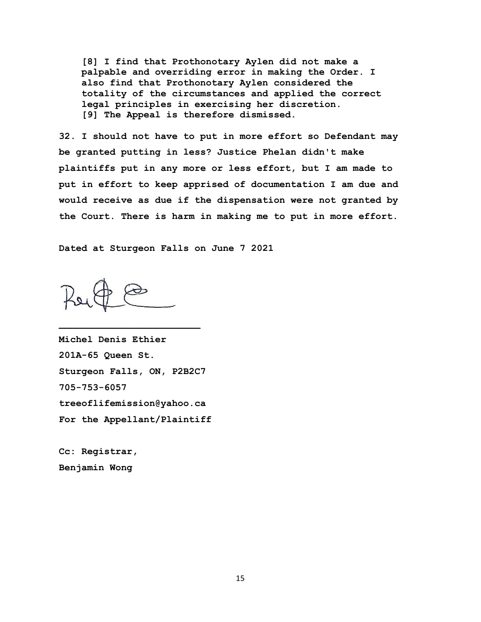**[8] I find that Prothonotary Aylen did not make a palpable and overriding error in making the Order. I also find that Prothonotary Aylen considered the totality of the circumstances and applied the correct legal principles in exercising her discretion. [9] The Appeal is therefore dismissed.**

**32. I should not have to put in more effort so Defendant may be granted putting in less? Justice Phelan didn't make plaintiffs put in any more or less effort, but I am made to put in effort to keep apprised of documentation I am due and would receive as due if the dispensation were not granted by the Court. There is harm in making me to put in more effort.**

**Dated at Sturgeon Falls on June 7 2021** 

**Michel Denis Ethier 201A-65 Queen St. Sturgeon Falls, ON, P2B2C7 705-753-6057 treeoflifemission@yahoo.ca For the Appellant/Plaintiff**

**Cc: Registrar, Benjamin Wong**